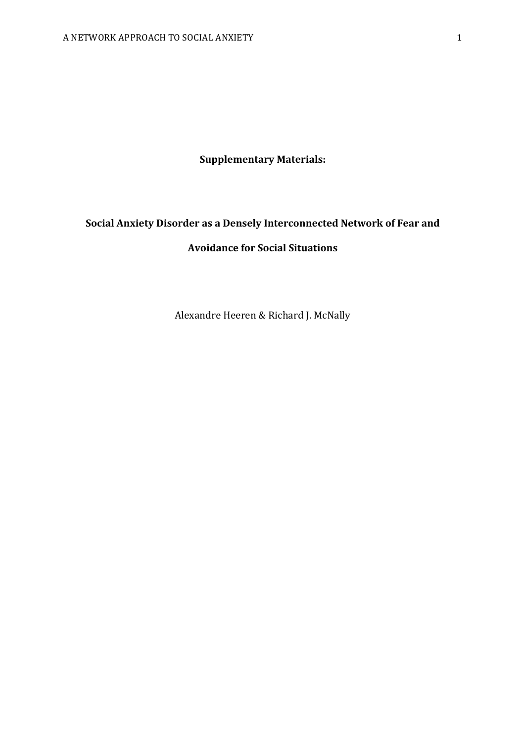## **Supplementary Materials:**

# **Social Anxiety Disorder as a Densely Interconnected Network of Fear and Avoidance for Social Situations**

Alexandre Heeren & Richard J. McNally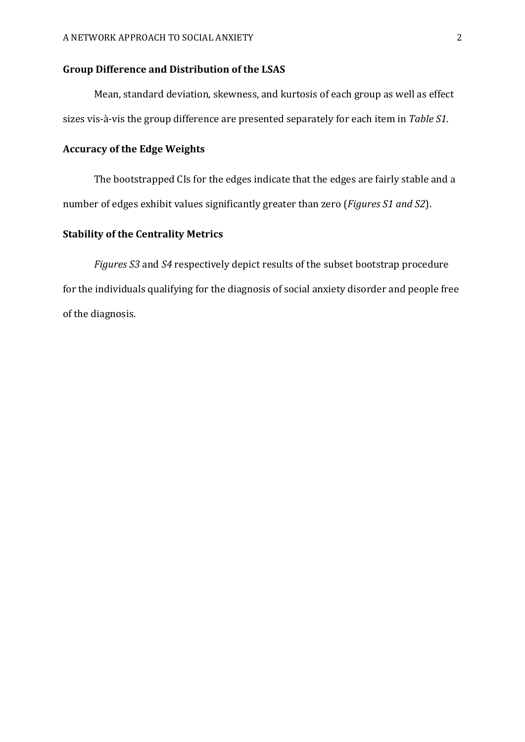### **Group Difference and Distribution of the LSAS**

Mean, standard deviation, skewness, and kurtosis of each group as well as effect sizes vis-à-vis the group difference are presented separately for each item in *Table S1*.

#### **Accuracy of the Edge Weights**

The bootstrapped CIs for the edges indicate that the edges are fairly stable and a number of edges exhibit values significantly greater than zero (*Figures S1 and S2*).

## **Stability of the Centrality Metrics**

*Figures* S3 and S4 respectively depict results of the subset bootstrap procedure for the individuals qualifying for the diagnosis of social anxiety disorder and people free of the diagnosis.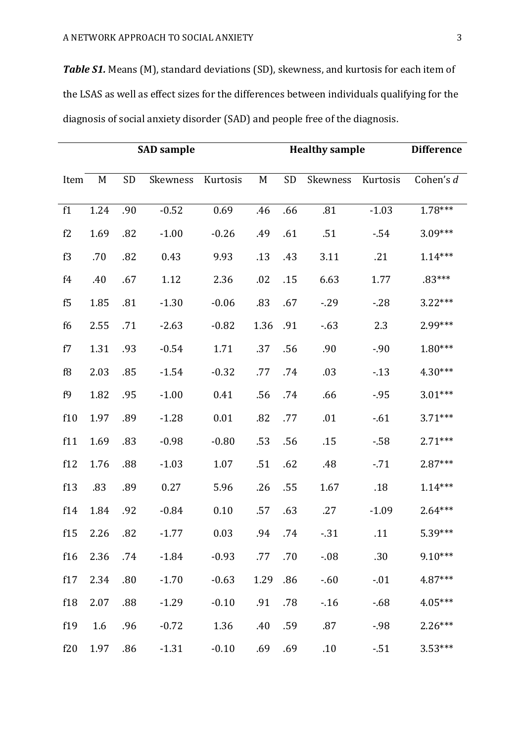**Table S1.** Means (M), standard deviations (SD), skewness, and kurtosis for each item of the LSAS as well as effect sizes for the differences between individuals qualifying for the diagnosis of social anxiety disorder (SAD) and people free of the diagnosis.

| <b>SAD</b> sample |      |     |          |          |      | <b>Healthy sample</b> | <b>Difference</b> |          |           |
|-------------------|------|-----|----------|----------|------|-----------------------|-------------------|----------|-----------|
| Item              | M    | SD  | Skewness | Kurtosis | M    | <b>SD</b>             | Skewness          | Kurtosis | Cohen's d |
| f1                | 1.24 | .90 | $-0.52$  | 0.69     | .46  | .66                   | .81               | $-1.03$  | $1.78***$ |
| f2                | 1.69 | .82 | $-1.00$  | $-0.26$  | .49  | .61                   | .51               | $-54$    | $3.09***$ |
| f3                | .70  | .82 | 0.43     | 9.93     | .13  | .43                   | 3.11              | .21      | $1.14***$ |
| f4                | .40  | .67 | 1.12     | 2.36     | .02  | .15                   | 6.63              | 1.77     | $.83***$  |
| f5                | 1.85 | .81 | $-1.30$  | $-0.06$  | .83  | .67                   | $-0.29$           | $-28$    | $3.22***$ |
| f6                | 2.55 | .71 | $-2.63$  | $-0.82$  | 1.36 | .91                   | $-63$             | 2.3      | 2.99***   |
| f7                | 1.31 | .93 | $-0.54$  | 1.71     | .37  | .56                   | .90               | $-.90$   | $1.80***$ |
| f8                | 2.03 | .85 | $-1.54$  | $-0.32$  | .77  | .74                   | .03               | $-13$    | $4.30***$ |
| f9                | 1.82 | .95 | $-1.00$  | 0.41     | .56  | .74                   | .66               | $-.95$   | $3.01***$ |
| f10               | 1.97 | .89 | $-1.28$  | 0.01     | .82  | .77                   | .01               | $-61$    | $3.71***$ |
| f11               | 1.69 | .83 | $-0.98$  | $-0.80$  | .53  | .56                   | .15               | $-58$    | $2.71***$ |
| f12               | 1.76 | .88 | $-1.03$  | 1.07     | .51  | .62                   | .48               | $-.71$   | $2.87***$ |
| f13               | .83  | .89 | 0.27     | 5.96     | .26  | .55                   | 1.67              | .18      | $1.14***$ |
| f14               | 1.84 | .92 | $-0.84$  | 0.10     | .57  | .63                   | .27               | $-1.09$  | $2.64***$ |
| f15               | 2.26 | .82 | $-1.77$  | 0.03     | .94  | .74                   | $-0.31$           | .11      | 5.39***   |
| f16               | 2.36 | .74 | $-1.84$  | $-0.93$  | .77  | .70                   | $-0.08$           | .30      | $9.10***$ |
| f17               | 2.34 | .80 | $-1.70$  | $-0.63$  | 1.29 | .86                   | $-0.60$           | $-.01$   | 4.87***   |
| f18               | 2.07 | .88 | $-1.29$  | $-0.10$  | .91  | .78                   | $-16$             | $-68$    | $4.05***$ |
| f19               | 1.6  | .96 | $-0.72$  | 1.36     | .40  | .59                   | .87               | $-98$    | $2.26***$ |
| f20               | 1.97 | .86 | $-1.31$  | $-0.10$  | .69  | .69                   | .10               | $-51$    | $3.53***$ |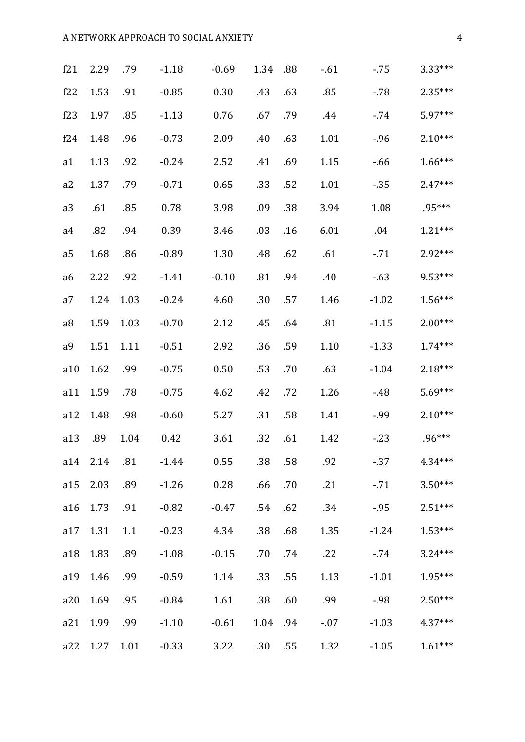## A NETWORK APPROACH TO SOCIAL ANXIETY 4

| f21            | 2.29     | .79  | $-1.18$ | $-0.69$  | 1.34 | .88 | $-61$ | $-75$   | $3.33***$ |
|----------------|----------|------|---------|----------|------|-----|-------|---------|-----------|
| f22            | 1.53     | .91  | $-0.85$ | $0.30\,$ | .43  | .63 | .85   | $-78$   | $2.35***$ |
| f23            | 1.97     | .85  | $-1.13$ | 0.76     | .67  | .79 | .44   | $-74$   | 5.97***   |
| f24            | 1.48     | .96  | $-0.73$ | 2.09     | .40  | .63 | 1.01  | $-.96$  | $2.10***$ |
| a1             | 1.13     | .92  | $-0.24$ | 2.52     | .41  | .69 | 1.15  | $-66$   | $1.66***$ |
| a2             | 1.37     | .79  | $-0.71$ | 0.65     | .33  | .52 | 1.01  | $-35$   | $2.47***$ |
| a3             | .61      | .85  | 0.78    | 3.98     | .09  | .38 | 3.94  | 1.08    | .95***    |
| a4             | .82      | .94  | 0.39    | 3.46     | .03  | .16 | 6.01  | .04     | $1.21***$ |
| a <sub>5</sub> | 1.68     | .86  | $-0.89$ | 1.30     | .48  | .62 | .61   | $-71$   | 2.92***   |
| a6             | 2.22     | .92  | $-1.41$ | $-0.10$  | .81  | .94 | .40   | $-63$   | $9.53***$ |
| a7             | 1.24     | 1.03 | $-0.24$ | 4.60     | .30  | .57 | 1.46  | $-1.02$ | $1.56***$ |
| a <sub>8</sub> | 1.59     | 1.03 | $-0.70$ | 2.12     | .45  | .64 | .81   | $-1.15$ | $2.00***$ |
| a <sup>9</sup> | 1.51     | 1.11 | $-0.51$ | 2.92     | .36  | .59 | 1.10  | $-1.33$ | $1.74***$ |
| a10            | 1.62     | .99  | $-0.75$ | 0.50     | .53  | .70 | .63   | $-1.04$ | $2.18***$ |
| a11            | 1.59     | .78  | $-0.75$ | 4.62     | .42  | .72 | 1.26  | $-48$   | $5.69***$ |
| a12            | 1.48     | .98  | $-0.60$ | 5.27     | .31  | .58 | 1.41  | -.99    | $2.10***$ |
| a13            | .89      | 1.04 | 0.42    | 3.61     | .32  | .61 | 1.42  | $-23$   | $.96***$  |
|                | a14 2.14 | .81  | $-1.44$ | 0.55     | .38  | .58 | .92   | $-37$   | $4.34***$ |
| a15            | 2.03     | .89  | $-1.26$ | 0.28     | .66  | .70 | .21   | $-71$   | $3.50***$ |
| a16            | 1.73     | .91  | $-0.82$ | $-0.47$  | .54  | .62 | .34   | $-95$   | $2.51***$ |
| a17            | 1.31     | 1.1  | $-0.23$ | 4.34     | .38  | .68 | 1.35  | $-1.24$ | $1.53***$ |
| a18            | 1.83     | .89  | $-1.08$ | $-0.15$  | .70  | .74 | .22   | $-74$   | $3.24***$ |
| a19            | 1.46     | .99  | $-0.59$ | 1.14     | .33  | .55 | 1.13  | $-1.01$ | 1.95***   |
| a20            | 1.69     | .95  | $-0.84$ | 1.61     | .38  | .60 | .99   | $-98$   | $2.50***$ |
| a21            | 1.99     | .99  | $-1.10$ | $-0.61$  | 1.04 | .94 | $-07$ | $-1.03$ | $4.37***$ |
| a22            | 1.27     | 1.01 | $-0.33$ | 3.22     | .30  | .55 | 1.32  | $-1.05$ | $1.61***$ |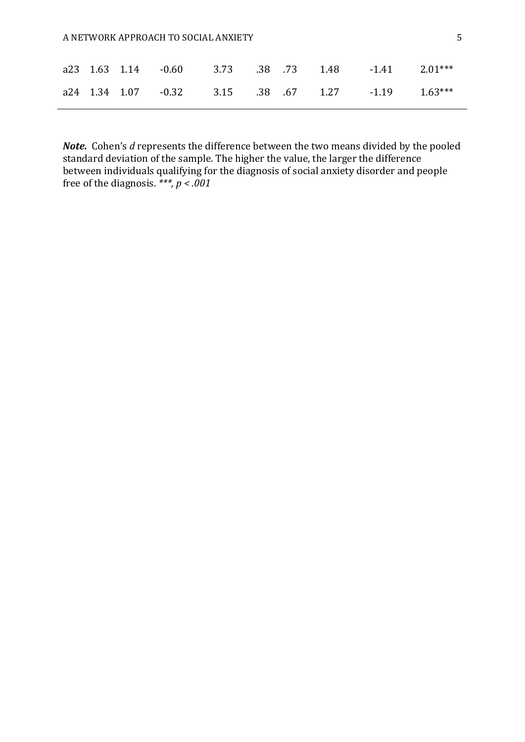#### A NETWORK APPROACH TO SOCIAL ANXIETY **5**

|  | a23 1.63 1.14 -0.60 3.73 .38 .73 1.48 -1.41 2.01*** |  |  |  |
|--|-----------------------------------------------------|--|--|--|
|  | a24 1.34 1.07 -0.32 3.15 .38 .67 1.27 -1.19 1.63*** |  |  |  |

*Note.* Cohen's *d* represents the difference between the two means divided by the pooled standard deviation of the sample. The higher the value, the larger the difference between individuals qualifying for the diagnosis of social anxiety disorder and people free of the diagnosis.  $**$ ,  $p < .001$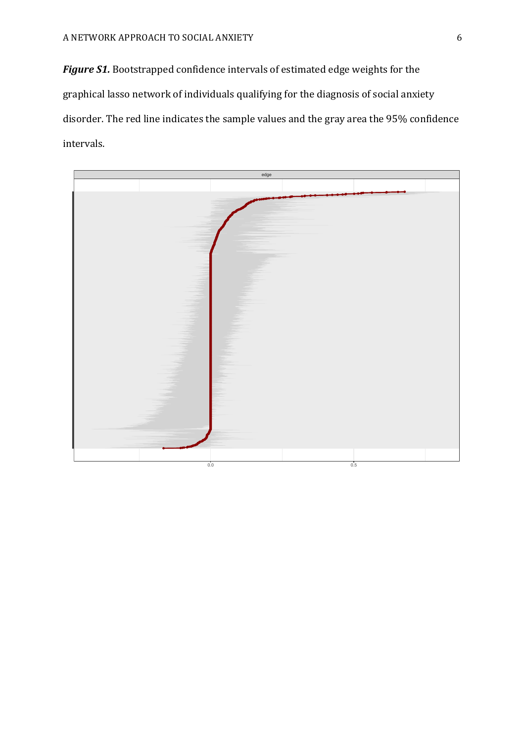Figure S1. Bootstrapped confidence intervals of estimated edge weights for the graphical lasso network of individuals qualifying for the diagnosis of social anxiety disorder. The red line indicates the sample values and the gray area the 95% confidence intervals. 

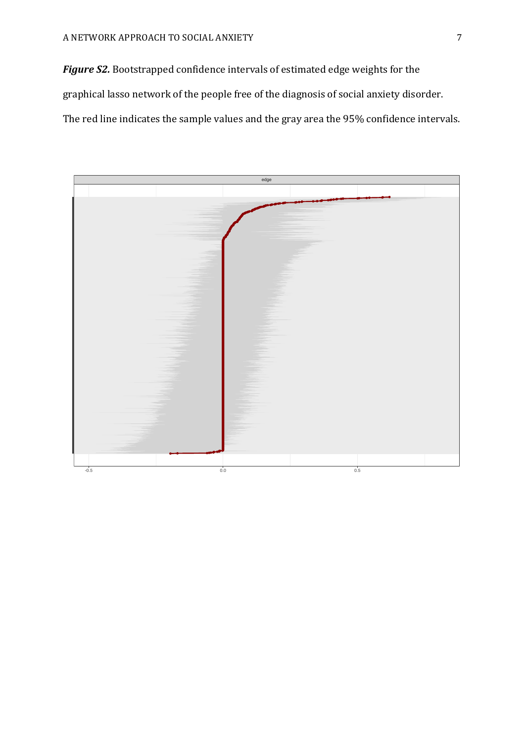Figure S2. Bootstrapped confidence intervals of estimated edge weights for the graphical lasso network of the people free of the diagnosis of social anxiety disorder. The red line indicates the sample values and the gray area the 95% confidence intervals.

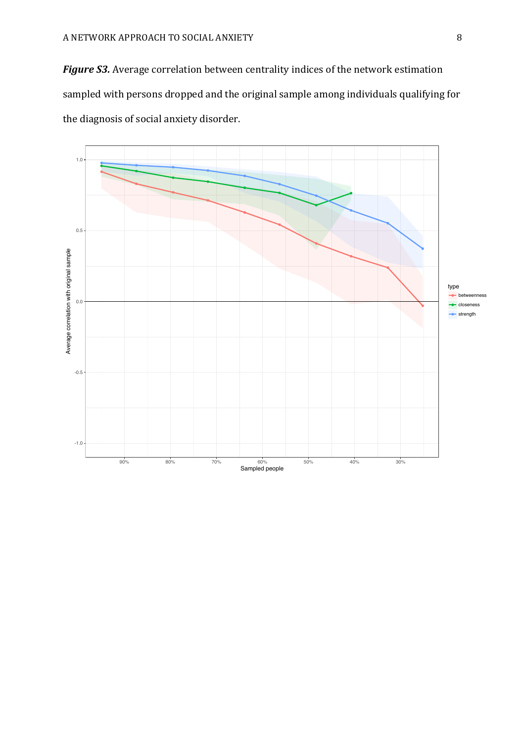**Figure S3.** Average correlation between centrality indices of the network estimation sampled with persons dropped and the original sample among individuals qualifying for the diagnosis of social anxiety disorder.